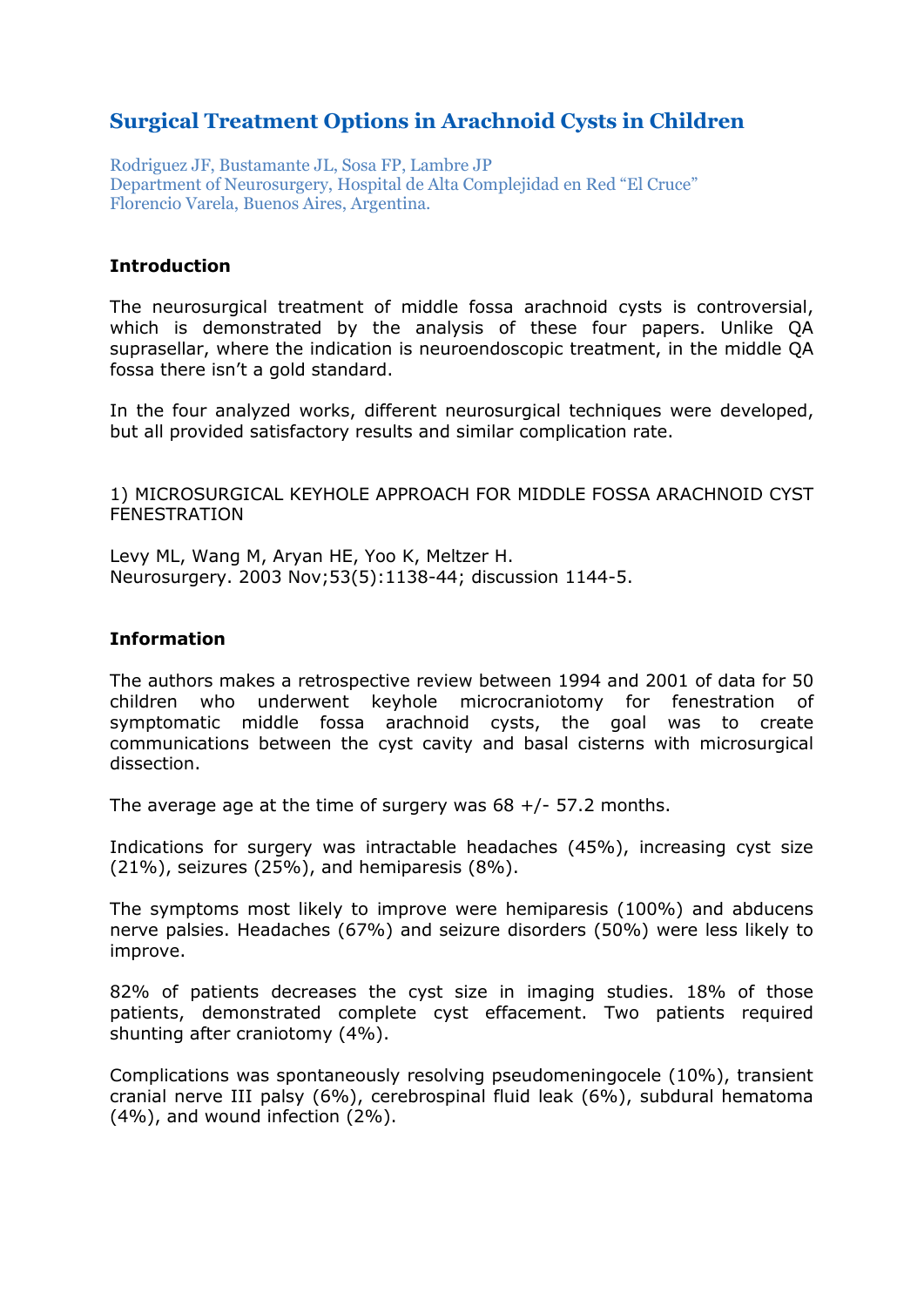# **Surgical Treatment Options in Arachnoid Cysts in Children**

Rodriguez JF, Bustamante JL, Sosa FP, Lambre JP Department of Neurosurgery, Hospital de Alta Complejidad en Red "El Cruce" Florencio Varela, Buenos Aires, Argentina.

#### **Introduction**

The neurosurgical treatment of middle fossa arachnoid cysts is controversial, which is demonstrated by the analysis of these four papers. Unlike QA suprasellar, where the indication is neuroendoscopic treatment, in the middle QA fossa there isn't a gold standard.

In the four analyzed works, different neurosurgical techniques were developed, but all provided satisfactory results and similar complication rate.

1) MICROSURGICAL KEYHOLE APPROACH FOR MIDDLE FOSSA ARACHNOID CYST FENESTRATION

Levy ML, Wang M, Aryan HE, Yoo K, Meltzer H. Neurosurgery. 2003 Nov;53(5):1138-44; discussion 1144-5.

#### **Information**

The authors makes a retrospective review between 1994 and 2001 of data for 50 children who underwent keyhole microcraniotomy for fenestration of symptomatic middle fossa arachnoid cysts, the goal was to create communications between the cyst cavity and basal cisterns with microsurgical dissection.

The average age at the time of surgery was  $68 +/- 57.2$  months.

Indications for surgery was intractable headaches (45%), increasing cyst size (21%), seizures (25%), and hemiparesis (8%).

The symptoms most likely to improve were hemiparesis (100%) and abducens nerve palsies. Headaches (67%) and seizure disorders (50%) were less likely to improve.

82% of patients decreases the cyst size in imaging studies. 18% of those patients, demonstrated complete cyst effacement. Two patients required shunting after craniotomy (4%).

Complications was spontaneously resolving pseudomeningocele (10%), transient cranial nerve III palsy (6%), cerebrospinal fluid leak (6%), subdural hematoma (4%), and wound infection (2%).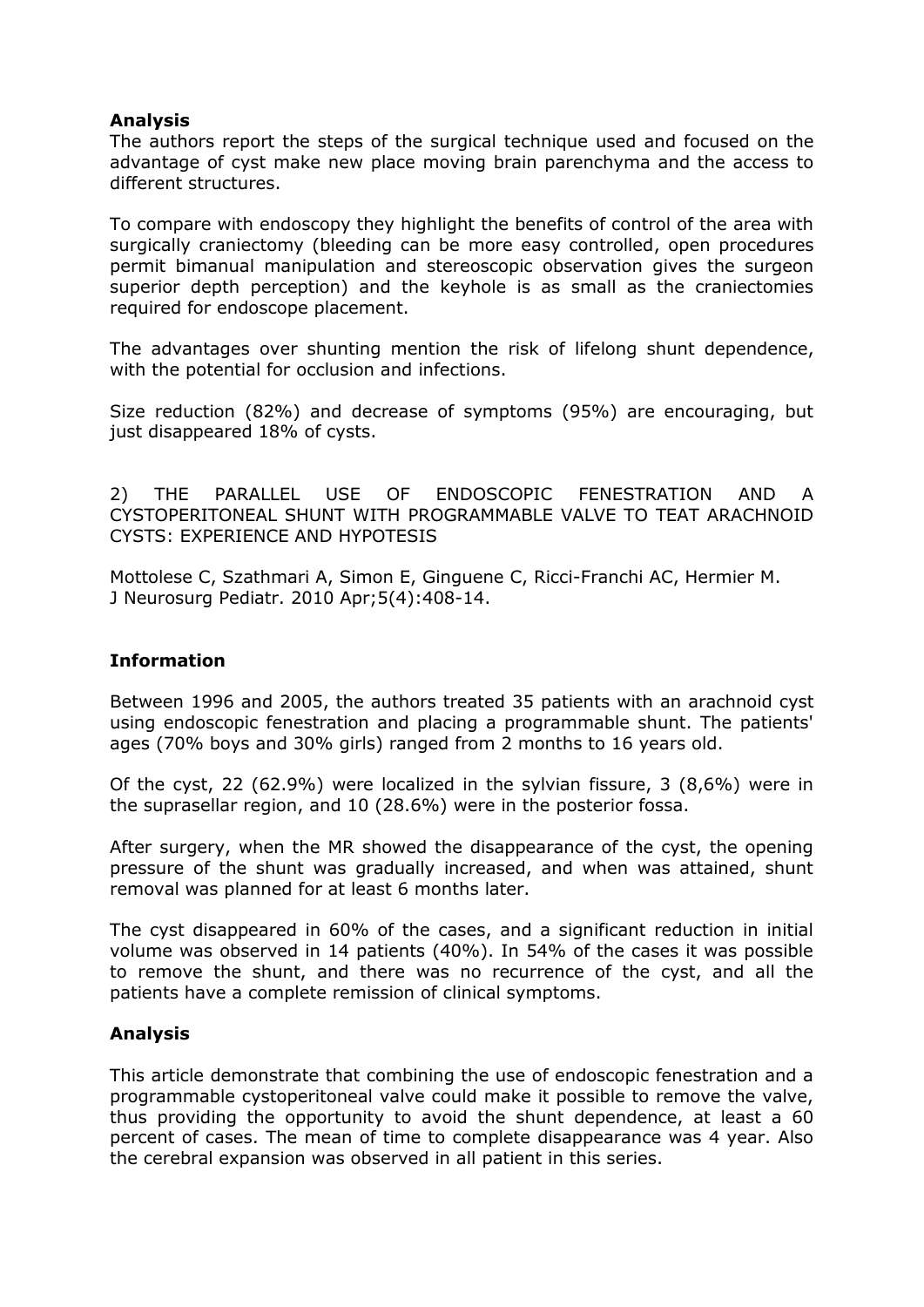# **Analysis**

The authors report the steps of the surgical technique used and focused on the advantage of cyst make new place moving brain parenchyma and the access to different structures.

To compare with endoscopy they highlight the benefits of control of the area with surgically craniectomy (bleeding can be more easy controlled, open procedures permit bimanual manipulation and stereoscopic observation gives the surgeon superior depth perception) and the keyhole is as small as the craniectomies required for endoscope placement.

The advantages over shunting mention the risk of lifelong shunt dependence, with the potential for occlusion and infections.

Size reduction (82%) and decrease of symptoms (95%) are encouraging, but just disappeared 18% of cysts.

2) THE PARALLEL USE OF ENDOSCOPIC FENESTRATION AND A CYSTOPERITONEAL SHUNT WITH PROGRAMMABLE VALVE TO TEAT ARACHNOID CYSTS: EXPERIENCE AND HYPOTESIS

Mottolese C, Szathmari A, Simon E, Ginguene C, Ricci-Franchi AC, Hermier M. J Neurosurg Pediatr. 2010 Apr;5(4):408-14.

# **Information**

Between 1996 and 2005, the authors treated 35 patients with an arachnoid cyst using endoscopic fenestration and placing a programmable shunt. The patients' ages (70% boys and 30% girls) ranged from 2 months to 16 years old.

Of the cyst, 22 (62.9%) were localized in the sylvian fissure, 3 (8,6%) were in the suprasellar region, and 10 (28.6%) were in the posterior fossa.

After surgery, when the MR showed the disappearance of the cyst, the opening pressure of the shunt was gradually increased, and when was attained, shunt removal was planned for at least 6 months later.

The cyst disappeared in 60% of the cases, and a significant reduction in initial volume was observed in 14 patients (40%). In 54% of the cases it was possible to remove the shunt, and there was no recurrence of the cyst, and all the patients have a complete remission of clinical symptoms.

# **Analysis**

This article demonstrate that combining the use of endoscopic fenestration and a programmable cystoperitoneal valve could make it possible to remove the valve, thus providing the opportunity to avoid the shunt dependence, at least a 60 percent of cases. The mean of time to complete disappearance was 4 year. Also the cerebral expansion was observed in all patient in this series.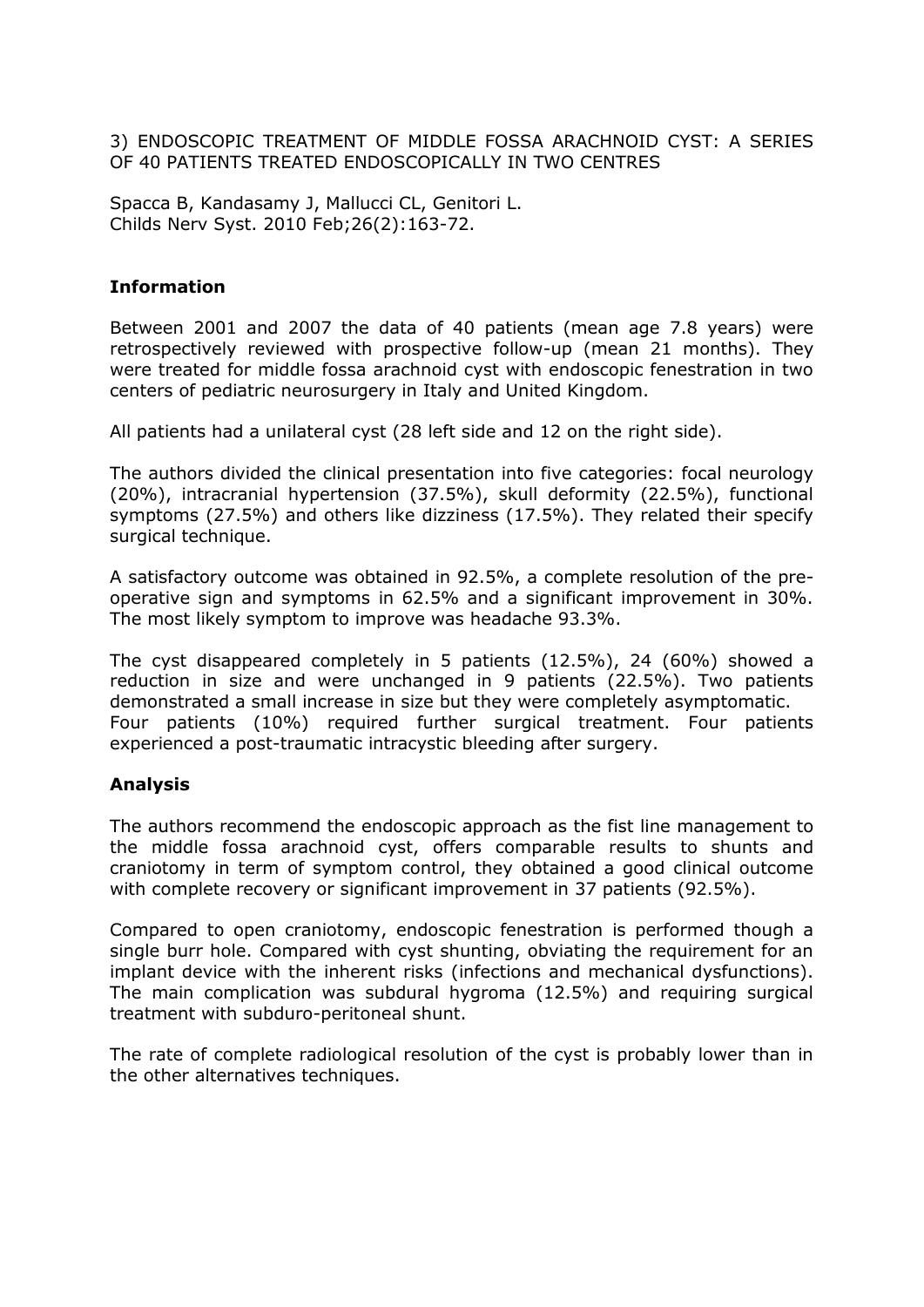3) ENDOSCOPIC TREATMENT OF MIDDLE FOSSA ARACHNOID CYST: A SERIES OF 40 PATIENTS TREATED ENDOSCOPICALLY IN TWO CENTRES

Spacca B, Kandasamy J, Mallucci CL, Genitori L. Childs Nerv Syst. 2010 Feb;26(2):163-72.

# **Information**

Between 2001 and 2007 the data of 40 patients (mean age 7.8 years) were retrospectively reviewed with prospective follow-up (mean 21 months). They were treated for middle fossa arachnoid cyst with endoscopic fenestration in two centers of pediatric neurosurgery in Italy and United Kingdom.

All patients had a unilateral cyst (28 left side and 12 on the right side).

The authors divided the clinical presentation into five categories: focal neurology (20%), intracranial hypertension (37.5%), skull deformity (22.5%), functional symptoms (27.5%) and others like dizziness (17.5%). They related their specify surgical technique.

A satisfactory outcome was obtained in 92.5%, a complete resolution of the preoperative sign and symptoms in 62.5% and a significant improvement in 30%. The most likely symptom to improve was headache 93.3%.

The cyst disappeared completely in 5 patients (12.5%), 24 (60%) showed a reduction in size and were unchanged in 9 patients (22.5%). Two patients demonstrated a small increase in size but they were completely asymptomatic. Four patients (10%) required further surgical treatment. Four patients experienced a post-traumatic intracystic bleeding after surgery.

# **Analysis**

The authors recommend the endoscopic approach as the fist line management to the middle fossa arachnoid cyst, offers comparable results to shunts and craniotomy in term of symptom control, they obtained a good clinical outcome with complete recovery or significant improvement in 37 patients (92.5%).

Compared to open craniotomy, endoscopic fenestration is performed though a single burr hole. Compared with cyst shunting, obviating the requirement for an implant device with the inherent risks (infections and mechanical dysfunctions). The main complication was subdural hygroma (12.5%) and requiring surgical treatment with subduro-peritoneal shunt.

The rate of complete radiological resolution of the cyst is probably lower than in the other alternatives techniques.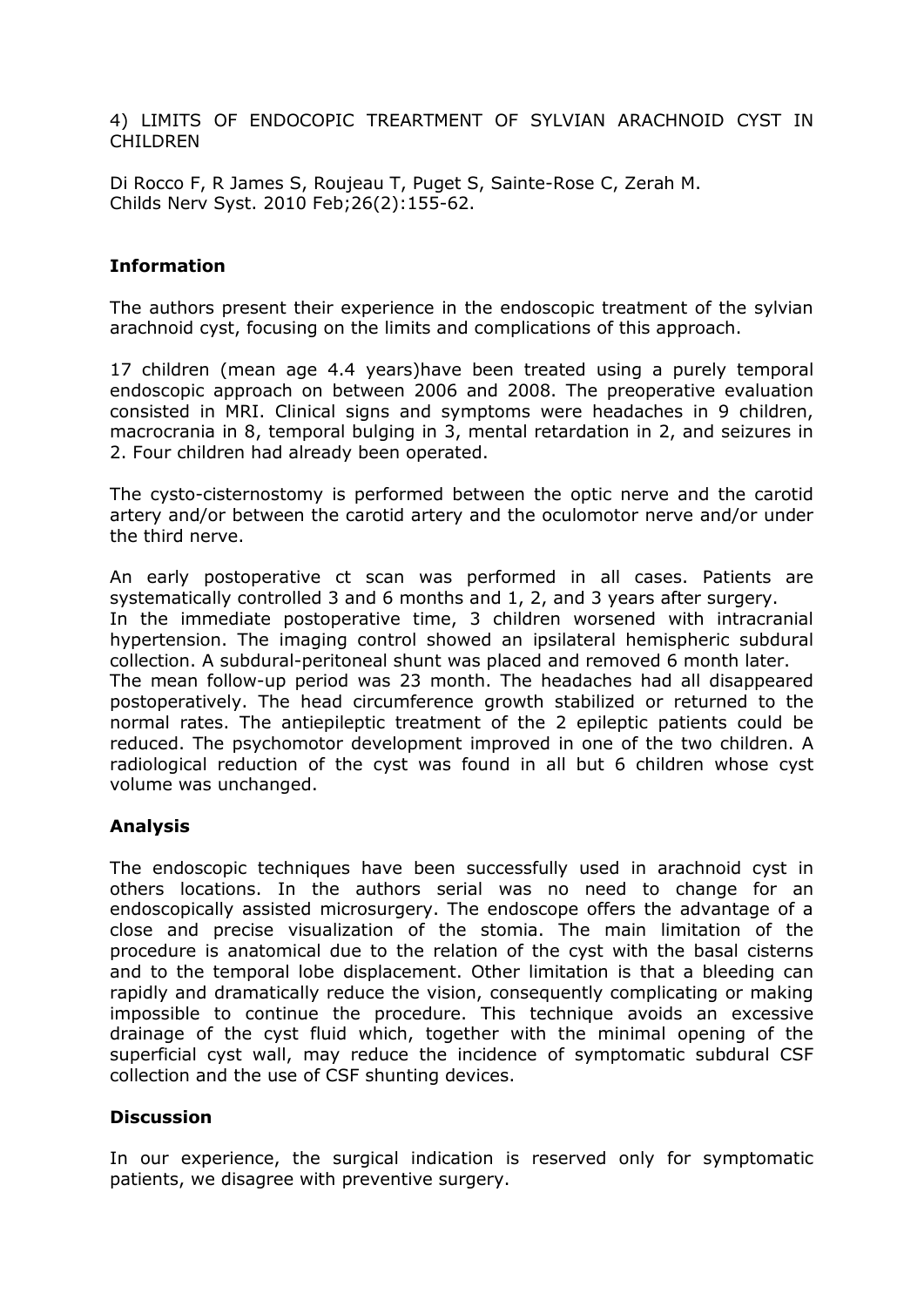4) LIMITS OF ENDOCOPIC TREARTMENT OF SYLVIAN ARACHNOID CYST IN CHILDREN

Di Rocco F, R James S, Roujeau T, Puget S, Sainte-Rose C, Zerah M. Childs Nerv Syst. 2010 Feb;26(2):155-62.

#### **Information**

The authors present their experience in the endoscopic treatment of the sylvian arachnoid cyst, focusing on the limits and complications of this approach.

17 children (mean age 4.4 years)have been treated using a purely temporal endoscopic approach on between 2006 and 2008. The preoperative evaluation consisted in MRI. Clinical signs and symptoms were headaches in 9 children, macrocrania in 8, temporal bulging in 3, mental retardation in 2, and seizures in 2. Four children had already been operated.

The cysto-cisternostomy is performed between the optic nerve and the carotid artery and/or between the carotid artery and the oculomotor nerve and/or under the third nerve.

An early postoperative ct scan was performed in all cases. Patients are systematically controlled 3 and 6 months and 1, 2, and 3 years after surgery. In the immediate postoperative time, 3 children worsened with intracranial hypertension. The imaging control showed an ipsilateral hemispheric subdural collection. A subdural-peritoneal shunt was placed and removed 6 month later. The mean follow-up period was 23 month. The headaches had all disappeared postoperatively. The head circumference growth stabilized or returned to the normal rates. The antiepileptic treatment of the 2 epileptic patients could be reduced. The psychomotor development improved in one of the two children. A radiological reduction of the cyst was found in all but 6 children whose cyst volume was unchanged.

# **Analysis**

The endoscopic techniques have been successfully used in arachnoid cyst in others locations. In the authors serial was no need to change for an endoscopically assisted microsurgery. The endoscope offers the advantage of a close and precise visualization of the stomia. The main limitation of the procedure is anatomical due to the relation of the cyst with the basal cisterns and to the temporal lobe displacement. Other limitation is that a bleeding can rapidly and dramatically reduce the vision, consequently complicating or making impossible to continue the procedure. This technique avoids an excessive drainage of the cyst fluid which, together with the minimal opening of the superficial cyst wall, may reduce the incidence of symptomatic subdural CSF collection and the use of CSF shunting devices.

# **Discussion**

In our experience, the surgical indication is reserved only for symptomatic patients, we disagree with preventive surgery.